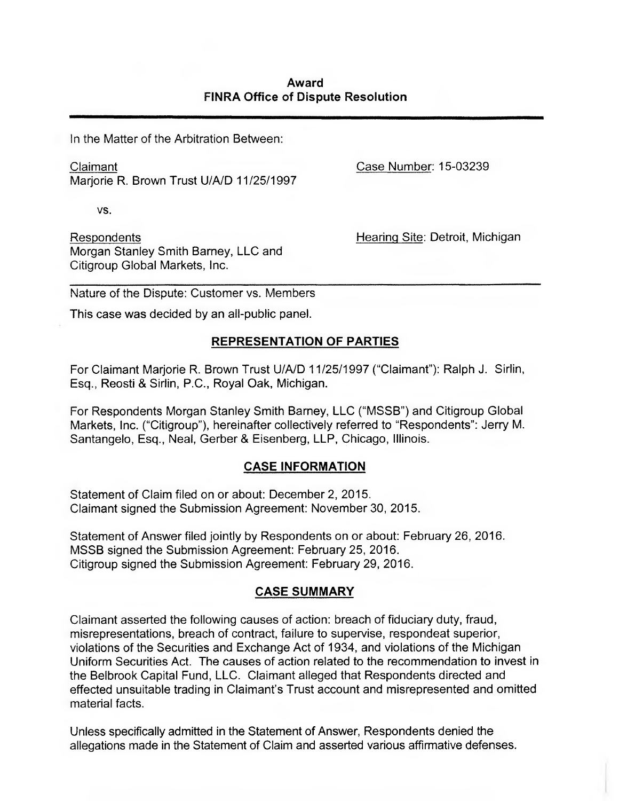In the Matter of the Arbitration Between:

Claimant Case Number: 15-03239 Marjorie R. Brown Trust U/A/D 11/25/1997

VS.

Respondents Hearinq Site: Detroit, Michigan Morgan Stanley Smith Barney, LLC and Citigroup Global Markets, Inc.

Nature of the Dispute: Customer vs. Members

This case was decided by an all-public panel.

# **REPRESENTATION OF PARTIES**

For Claimant Marjorie R. Brown Trust U/A/D 11/25/1997 ("Claimant"): Ralph J. Sirlin, Esq., Reosti & Sirlin, P.C., Royal Oak, Michigan.

For Respondents Morgan Stanley Smith Barney, LLC ("MSSB") and Citigroup Global Markets, inc. ("Citigroup"), hereinafter collectively referred to "Respondents": Jerry M. Santangelo, Esq., Neal, Gerber & Eisenberg, LLP, Chicago, Illinois.

## **CASE INFORMATION**

Statement of Claim filed on or about: December 2, 2015. Claimant signed the Submission Agreement: November 30, 2015.

Statement of Answer filed jointly by Respondents on or about: February 26, 2016. MSSB signed the Submission Agreement: February 25, 2016. Citigroup signed the Submission Agreement: February 29, 2016.

# **CASE SUMMARY**

Claimant asserted the following causes of action: breach of fiduciary duty, fraud, misrepresentations, breach of contract, failure to supervise, respondeat superior, violations of the Securities and Exchange Act of 1934, and violations of the Michigan Uniform Securities Act. The causes of action related to the recommendation to invest in the Belbrook Capital Fund, LLC. Claimant alleged that Respondents directed and effected unsuitable trading in Claimant's Trust account and misrepresented and omitted material facts.

Unless specifically admitted in the Statement of Answer, Respondents denied the allegations made in the Statement of Claim and asserted various affirrnative defenses.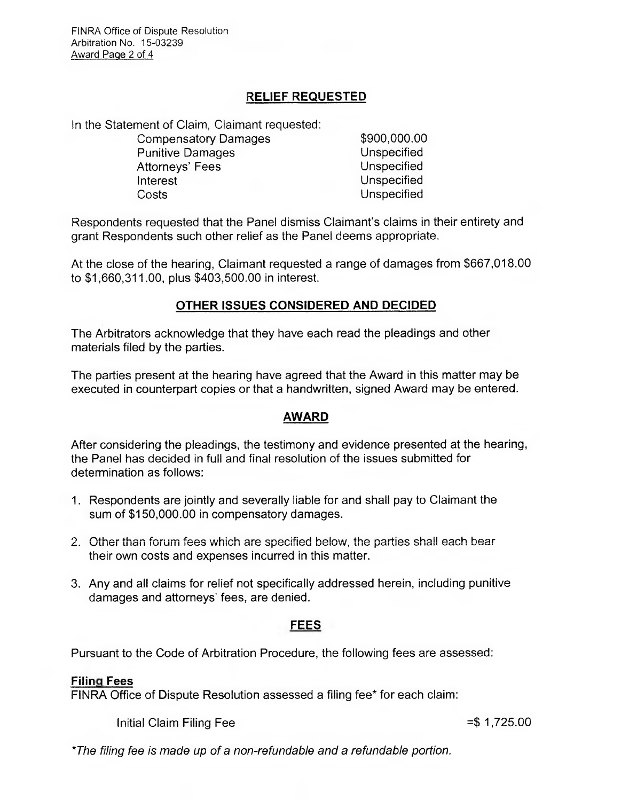# **RELIEF REQUESTED**

In the Statement of Claim, Claimant requested:

Compensatory Damages \$900,000.000 Punitive Damages **Exercise** Unspecified Attorneys' Fees Unspecified Interest Unspecified Costs Unspecified

Respondents requested that the Panel dismiss Claimant's claims in their entirety and grant Respondents such other relief as the Panel deems appropriate.

At the close of the hearing, Claimant requested a range of damages from \$667,018.00 to \$1,660,311.00, plus \$403,500.00 in interest.

# **OTHER ISSUES CONSIDERED AND DECIDED**

The Arbitrators acknowledge that they have each read the pleadings and other materials filed by the parties.

The parties present at the hearing have agreed that the Award in this matter may be executed in counterpart copies or that a handwritten, signed Award may be entered.

## **AWARD**

After considering the pleadings, the testimony and evidence presented at the hearing, the Panel has decided in full and final resolution of the issues submitted for determination as follows:

- 1. Respondents are jointly and severally liable for and shall pay to Claimant the sum of \$150,000.00 in compensatory damages.
- 2. Other than forum fees which are specified below, the parties shall each bear their own costs and expenses incurred in this matter.
- 3. Any and all claims for relief not specifically addressed herein, including punitive damages and attorneys' fees, are denied.

## **FEES**

Pursuant to the Code of Arbitration Procedure, the following fees are assessed:

# **Filing Fees**

FINRA Office of Dispute Resolution assessed a filing fee\* for each claim:

Initial Claim Filing Fee  $=$ \$ 1,725.00

*\*The filing fee is made up of a non-refundable and a refundable portion.*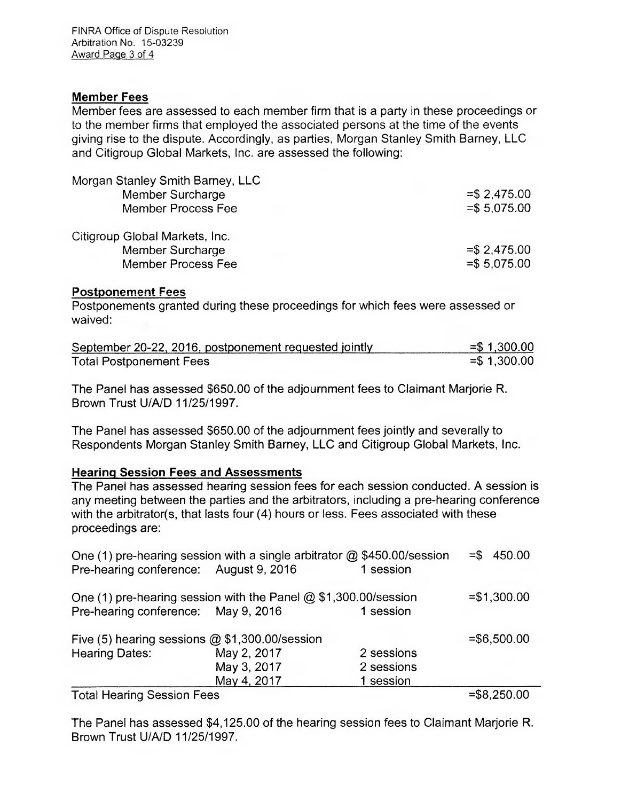## **Member Fees**

Member fees are assessed to each member firm that is a party in these proceedings or to the member firms that employed the associated persons at the time of the events giving rise to the dispute. Accordingly, as parties, Morgan Stanley Smith Barney, LLC and Citigroup Global Markets, Inc. are assessed the following:

| Morgan Stanley Smith Barney, LLC |                |
|----------------------------------|----------------|
| Member Surcharge                 | $=$ \$2,475.00 |
| <b>Member Process Fee</b>        | $= $5,075.00$  |
| Citigroup Global Markets, Inc.   |                |
| Member Surcharge                 | $=$ \$2,475.00 |
| <b>Member Process Fee</b>        | $= $5,075.00$  |

#### **Postponement Fees**

Postponements granted during these proceedings for which fees were assessed or waived:

| September 20-22, 2016, postponement requested jointly | $=$ \$1,300.00 |
|-------------------------------------------------------|----------------|
| <b>Total Postponement Fees</b>                        | $=$ \$1,300.00 |

The Panel has assessed \$650.00 of the adjournment fees to Claimant Marjorie R. Brown Trust U/A/D 11/25/1997.

The Panel has assessed \$650.00 of the adjournment fees jointly and severally to Respondents Morgan Stanley Smith Barney, LLC and Citigroup Global Markets, Inc.

## **Hearing Session Fees and Assessments**

The Panel has assessed hearing session fees for each session conducted. A session is any meeting between the parties and the arbitrators, including a pre-hearing conference with the arbitrator(s, that lasts four (4) hours or less. Fees associated with these proceedings are:

| One (1) pre-hearing session with a single arbitrator @ \$450.00/session                                  |             |            | $= $ 450.00$                                                                                                                                                                                                                                                                                                                                                                                                           |
|----------------------------------------------------------------------------------------------------------|-------------|------------|------------------------------------------------------------------------------------------------------------------------------------------------------------------------------------------------------------------------------------------------------------------------------------------------------------------------------------------------------------------------------------------------------------------------|
| Pre-hearing conference: August 9, 2016                                                                   |             | 1 session  |                                                                                                                                                                                                                                                                                                                                                                                                                        |
| One (1) pre-hearing session with the Panel $@$ \$1,300.00/session<br>Pre-hearing conference: May 9, 2016 |             | 1 session  | $= $1,300.00$                                                                                                                                                                                                                                                                                                                                                                                                          |
| Five (5) hearing sessions @ \$1,300.00/session                                                           |             |            | $= $6,500.00$                                                                                                                                                                                                                                                                                                                                                                                                          |
| <b>Hearing Dates:</b>                                                                                    | May 2, 2017 | 2 sessions |                                                                                                                                                                                                                                                                                                                                                                                                                        |
|                                                                                                          | May 3, 2017 | 2 sessions |                                                                                                                                                                                                                                                                                                                                                                                                                        |
|                                                                                                          | May 4, 2017 | 1 session  |                                                                                                                                                                                                                                                                                                                                                                                                                        |
| $\sim$                                                                                                   |             |            | $\mathbf{A} \mathbf{A} \mathbf{A} \mathbf{A} \mathbf{A} \mathbf{A} \mathbf{A} \mathbf{A} \mathbf{A} \mathbf{A} \mathbf{A} \mathbf{A} \mathbf{A} \mathbf{A} \mathbf{A} \mathbf{A} \mathbf{A} \mathbf{A} \mathbf{A} \mathbf{A} \mathbf{A} \mathbf{A} \mathbf{A} \mathbf{A} \mathbf{A} \mathbf{A} \mathbf{A} \mathbf{A} \mathbf{A} \mathbf{A} \mathbf{A} \mathbf{A} \mathbf{A} \mathbf{A} \mathbf{A} \mathbf{A} \mathbf{$ |

Total Hearing Session Fees =\$8,250.00

The Panel has assessed \$4,125.00 of the hearing session fees to Claimant Marjorie R. Brown Trust U/A/D 11/25/1997.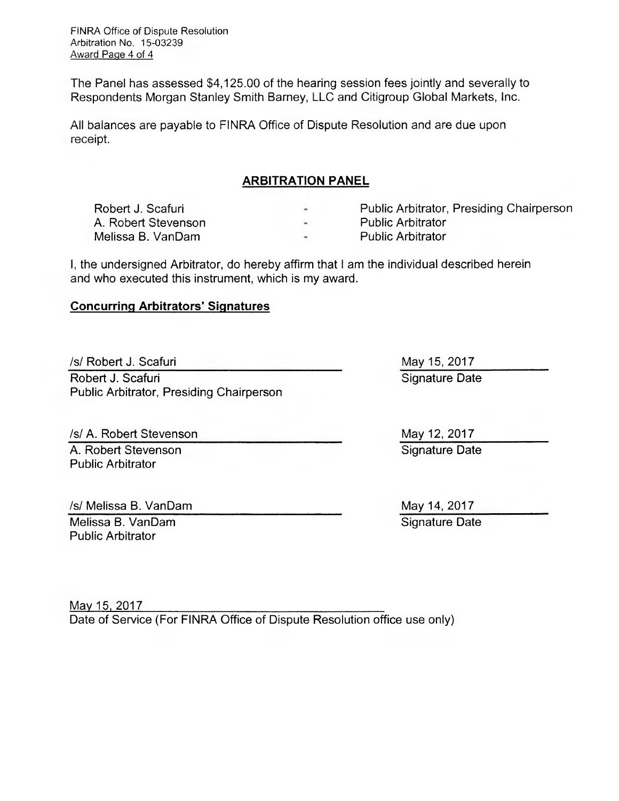The Panel has assessed \$4,125.00 of the hearing session fees jointly and severally to Respondents Morgan Stanley Smith Barney, LLC and Citigroup Global Markets, Inc.

All balances are payable to FINRA Office of Dispute Resolution and are due upon receipt.

#### **ARBITRATION PANEL**

| Robert J. Scafuri   |        | Public Arbitrator, Presiding Chairperson |
|---------------------|--------|------------------------------------------|
| A. Robert Stevenson | $\sim$ | <b>Public Arbitrator</b>                 |
| Melissa B. VanDam   |        | <b>Public Arbitrator</b>                 |

I, the undersigned Arbitrator, do hereby affirm that I am the individual described herein and who executed this instrument, which is my award.

# **Concurring Arbitrators' Signatures**

/s/ Robert J. Scafuri May 15, 2017 Robert J. Scafuri Public Arbitrator, Presiding Chairperson

/s/ A. Robert Stevenson A. Robert Stevenson Signature Date Public Arbitrator

/s/ Melissa B. VanDam May 14, 2017

Melissa B. VanDam Signature Date Signature Date Public Arbitrator

Signature Date

May 12, 2017

May 15, 2017 Date of Service (For FINRA Office of Dispute Resolution office use only)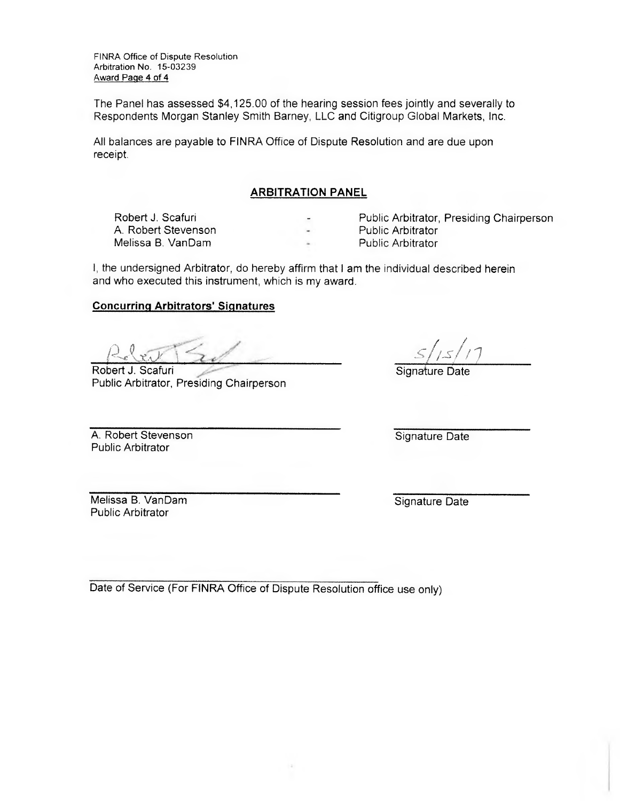The Panel has assessed \$4,125.00 of the hearing session fees jointly and severally to Respondents Morgan Stanley Smith Barney, LLC and Citigroup Global Markets, Inc.

All balances are payable to FINRA Office of Dispute Resolution and are due upon receipt.

#### **ARBITRATION PANEL**

A. Robert Stevenson **Public Arbitrator** Public Arbitrator<br>
Melissa B. VanDam Melissa B. VanDam

Robert J. Scafuri **Public Arbitrator**, Presiding Chairperson<br>
A. Robert Stevenson<br>
A. Robert Stevenson

- 
- 

I, the undersigned Arbitrator, do hereby affirm that I am the individual described herein and who executed this instrument, which is my award.

#### **Concurring Arbitrators' Signatures**

Robert J. Scafuri Robert J. Scafuri<br>
A. Robert Stevenson<br>
Melissa B. VanDam<br>
he undersigned Arbitrator, do hereby affirm t<br>
d who executed this instrument, which is my<br>
neurring Arbitrators' Signatures<br>
Dert J. Scafuri<br>
Mic Arbitrator, Pres

Public Arbitrator, PreSiding Chairperson

Signature Date

A. Robert Stevenson Signature Date Public Arbitrator

Melissa B. VanDam Signature Date Public Arbitrator

Date of Service (For FINRA Office of Dispute Resolution office use only)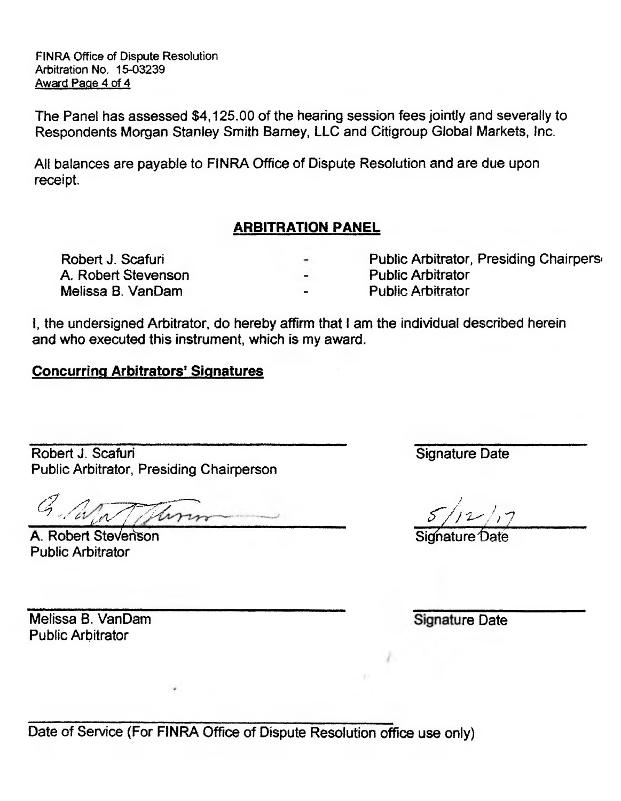The Panel has assessed \$4,125.00 of the hearing session fees jointly and severally to Respondents Morgan Stanley Smith Bamey, LLC and Citigroup Global Markets, Inc.

All balances are payable to FINRA Office of Dispute Resolution and are due upon receipt.

# **ARBITRATION PANEL**

A. Robert Stevenson **Public Arbitrator** Melissa B. VanDam The Contract Contract Arbitrator

Robert J. Scafuri **Public Arbitrator, Presiding Chairpers** 

- 
- 

**I,** the undersigned Arbitrator, do hereby affirm that I am the individual described herein and who executed this instrument, which is my award.

# **Concurring Arbitrators' Signatures**

Robert J. Scafuri Public Arbitrator, Presiding Chairperson

W. The ,

/ **A.** Robert SteVenson Public Arbitrator

Signature Date

 $5/12/17$ 

Signature Date

Melissa B. VanDam Public Arbitrator

Signature Date

Date of Service (For FINRA Office of Dispute Resolution office use only)